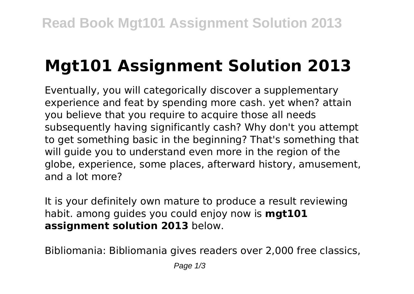## **Mgt101 Assignment Solution 2013**

Eventually, you will categorically discover a supplementary experience and feat by spending more cash. yet when? attain you believe that you require to acquire those all needs subsequently having significantly cash? Why don't you attempt to get something basic in the beginning? That's something that will guide you to understand even more in the region of the globe, experience, some places, afterward history, amusement, and a lot more?

It is your definitely own mature to produce a result reviewing habit. among guides you could enjoy now is **mgt101 assignment solution 2013** below.

Bibliomania: Bibliomania gives readers over 2,000 free classics,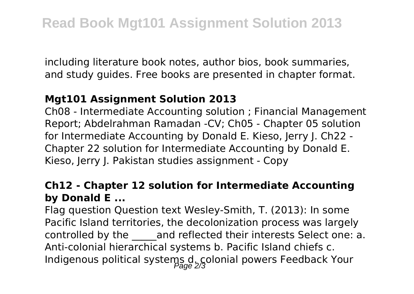including literature book notes, author bios, book summaries, and study guides. Free books are presented in chapter format.

## **Mgt101 Assignment Solution 2013**

Ch08 - Intermediate Accounting solution ; Financial Management Report; Abdelrahman Ramadan -CV; Ch05 - Chapter 05 solution for Intermediate Accounting by Donald E. Kieso, Jerry J. Ch22 - Chapter 22 solution for Intermediate Accounting by Donald E. Kieso, Jerry J. Pakistan studies assignment - Copy

## **Ch12 - Chapter 12 solution for Intermediate Accounting by Donald E ...**

Flag question Question text Wesley-Smith, T. (2013): In some Pacific Island territories, the decolonization process was largely controlled by the and reflected their interests Select one: a. Anti-colonial hierarchical systems b. Pacific Island chiefs c. Indigenous political systems d. colonial powers Feedback Your